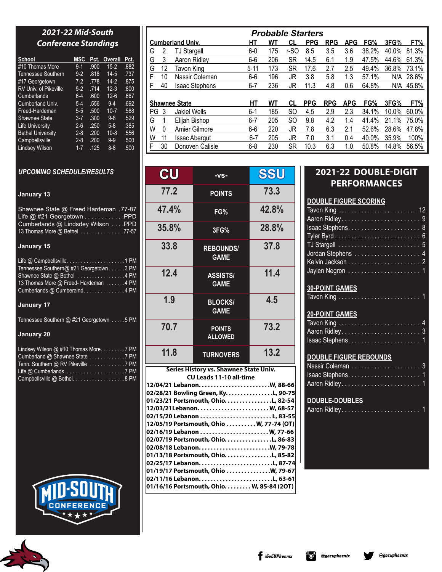# *2021-22 Mid-South Conference Standings*

| School                       | MSC     | Pct. | Overall  | Pct. |
|------------------------------|---------|------|----------|------|
| #10 Thomas More              | $9 - 1$ | .900 | $15 - 2$ | .882 |
| Tennessee Southern           | $9 - 2$ | .818 | $14-5$   | .737 |
| #17 Georgetown               | $7-2$   | .778 | $14-2$   | .875 |
| <b>RV Univ. of Pikeville</b> | $5-2$   | .714 | $12 - 3$ | .800 |
| Cumberlands                  | 6-4     | .600 | $12 - 6$ | .667 |
| Cumberland Univ.             | $5-4$   | .556 | $9-4$    | .692 |
| Freed-Hardeman               | $5 - 5$ | .500 | $10 - 7$ | .588 |
| <b>Shawnee State</b>         | $3 - 7$ | .300 | $9 - 8$  | .529 |
| <b>Life University</b>       | $2 - 6$ | .250 | $5-8$    | .385 |
| <b>Bethel University</b>     | $2 - 8$ | .200 | $10 - 8$ | .556 |
| Campbellsville               | $2 - 8$ | .200 | $9 - 9$  | .500 |
| <b>Lindsey Wilson</b>        | $1 - 7$ | .125 | $8 - 8$  | .500 |

# *UPCOMING SCHEDULE/RESULTS*

### **January 13**

Shawnee State @ Freed Hardeman .77-87 Life @ #21 Georgetown . . . . . . . . . . . . PPD Cumberlands @ Lindsdey Wilson . . . . PPD 13 Thomas More @ Bethel. . . . . . . . . . . . . . 77-57

### **January 15**

| Life $@$ Campbellsville1 PM            |  |
|----------------------------------------|--|
| Tennessee Southern@#21 Georgetown 3 PM |  |
| Shawnee State @ Bethel 4 PM            |  |
| 13 Thomas More @ Freed-Hardeman 4 PM   |  |
| Cumberlands @ Cumberalnd4 PM           |  |

### **January 17**

Tennessee Southern @ #21 Georgetown . . . . . 5 PM

# **January 20**

| Lindsey Wilson @ #10 Thomas More7 PM |  |
|--------------------------------------|--|
|                                      |  |
|                                      |  |
|                                      |  |
| Campbellsville @ Bethel. 8 PM        |  |



|    |    |                         |          | <b>Probable Starters</b> |               |            |            |            |       |       |       |
|----|----|-------------------------|----------|--------------------------|---------------|------------|------------|------------|-------|-------|-------|
|    |    | <b>Cumberland Univ.</b> | HТ       | WT                       | CL            | <b>PPG</b> | <b>RPG</b> | <b>APG</b> | FG%   | 3FG%  | FT%   |
| G  | 2  | <b>TJ Stargell</b>      | $6-0$    | 175                      | r-SO          | 8.5        | 3.5        | 3.6        | 38.2% | 40.0% | 81.3% |
| G  | 3  | Aaron Ridley            | $6-6$    | 206                      | <b>SR</b>     | 14.5       | 6.1        | 1.9        | 47.5% | 44.6% | 61.3% |
| G  | 12 | Tavon King              | $5 - 11$ | 173                      | SR            | 17.6       | 2.7        | 2.5        | 49.4% | 36.8% | 73.1% |
| F  | 10 | Nassir Coleman          | $6-6$    | 196                      | JR            | 3.8        | 5.8        | 1.3        | 57.1% | N/A   | 28.6% |
| F  | 40 | <b>Isaac Stephens</b>   | $6 - 7$  | 236                      | JR            | 11.3       | 4.8        | 0.6        | 64.8% | N/A   | 45.8% |
|    |    |                         |          |                          |               |            |            |            |       |       |       |
|    |    | <b>Shawnee State</b>    | НT       | WT                       | CL            | <b>PPG</b> | <b>RPG</b> | <b>APG</b> | FG%   | 3FG%  | FT%   |
| PG | 3  | <b>Jakiel Wells</b>     | $6 - 1$  | 185                      | <sub>SO</sub> | 4.5        | 2.9        | 2.3        | 34.1% | 10.0% | 60.0% |
| G  |    | Elijah Bishop           | $6 - 7$  | 205                      | SO            | 9.8        | 4.2        | 1.4        | 41.4% | 21.1% | 75.0% |
| W  | 0  | Amier Gilmore           | $6-6$    | 220                      | JR            | 7.8        | 6.3        | 2.1        | 52.6% | 28.6% | 47.8% |
| W  | 11 | <b>Issac Abergut</b>    | $6 - 7$  | 205                      | JR            | 7.0        | 3.1        | 0.4        | 40.0% | 35.9% | 100%  |
| F  | 30 | Donoven Calisle         | $6 - 8$  | 230                      | SR            | 10.3       | 6.3        | 1.0        | 50.8% | 14.8% | 56.5% |

| CU    | $-VS-$                                 | SSU   |
|-------|----------------------------------------|-------|
| 77.2  | <b>POINTS</b>                          | 73.3  |
| 47.4% | FG%                                    | 42.8% |
| 35.8% | 3FG%                                   | 28.8% |
| 33.8  | <b>REBOUNDS/</b><br><b>GAME</b>        | 37.8  |
| 12.4  | <b>ASSISTS/</b><br><b>GAME</b>         | 11.4  |
| 1.9   | <b>BLOCKS/</b><br><b>GAME</b>          | 4.5   |
| 70.7  | <b>POINTS</b><br><b>ALLOWED</b>        | 73.2  |
| 11.8  | <b>TURNOVERS</b>                       | 13.2  |
|       | Series History vs. Shawnee State Univ. |       |

#### **CU Leads 11-10 all-time 12/04/21 Lebanon. . . . . . . . . . . . . . . . . . . . . . . .W, 88-66 02/28/21 Bowling Green, Ky. . . . . . . . . . . . . . . .L, 90-75 01/23/21 Portsmouth, Ohio. . . . . . . . . . . . . . . .L, 82-54 12/03/21Lebanon. . . . . . . . . . . . . . . . . . . . . . . . W, 68-57 02/15/20 Lebanon . . . . . . . . . . . . . . . . . . . . . . . . L, 83-55 12/05/19 Portsmouth, Ohio . . . . . . . . . . W, 77-74 (OT) 02/16/19 Lebanon . . . . . . . . . . . . . . . . . . . . . . . W, 77-66 02/07/19 Portsmouth, Ohio. . . . . . . . . . . . . . . .L, 86-83 02/08/18 Lebanon. . . . . . . . . . . . . . . . . . . . . . . .W, 79-78 01/13/18 Portsmouth, Ohio. . . . . . . . . . . . . . . .L, 85-82 02/25/17 Lebanon. . . . . . . . . . . . . . . . . . . . . . . . .L, 87-74 01/19/17 Portsmouth, Ohio . . . . . . . . . . . . . . .W, 79-67 02/11/16 Lebanon. . . . . . . . . . . . . . . . . . . . . . . . .L, 63-61 01/16/16 Portsmouth, Ohio. . . . . . . . . W, 85-84 (2OT)**

# **2021-22 DOUBLE-DIGIT PERFORMANCES**

| <b>DOUBLE FIGURE SCORING</b> |  |  |  |  |  |  |  |  |  |  |
|------------------------------|--|--|--|--|--|--|--|--|--|--|
|                              |  |  |  |  |  |  |  |  |  |  |
|                              |  |  |  |  |  |  |  |  |  |  |
|                              |  |  |  |  |  |  |  |  |  |  |
|                              |  |  |  |  |  |  |  |  |  |  |
|                              |  |  |  |  |  |  |  |  |  |  |
|                              |  |  |  |  |  |  |  |  |  |  |
|                              |  |  |  |  |  |  |  |  |  |  |
|                              |  |  |  |  |  |  |  |  |  |  |
| <b>30-POINT GAMES</b>        |  |  |  |  |  |  |  |  |  |  |
|                              |  |  |  |  |  |  |  |  |  |  |

| $\sim$ . The $\sim$ and $\sim$                                       |  |  |  |  |  |  |  |  |  |
|----------------------------------------------------------------------|--|--|--|--|--|--|--|--|--|
| Tavon King $\ldots \ldots \ldots \ldots \ldots \ldots \ldots \ldots$ |  |  |  |  |  |  |  |  |  |

# **20-POINT GAMES**

# **DOUBLE FIGURE REBOUNDS**

# **DOUBLE-DOUBLES**

@gocuphoenix

|--|--|